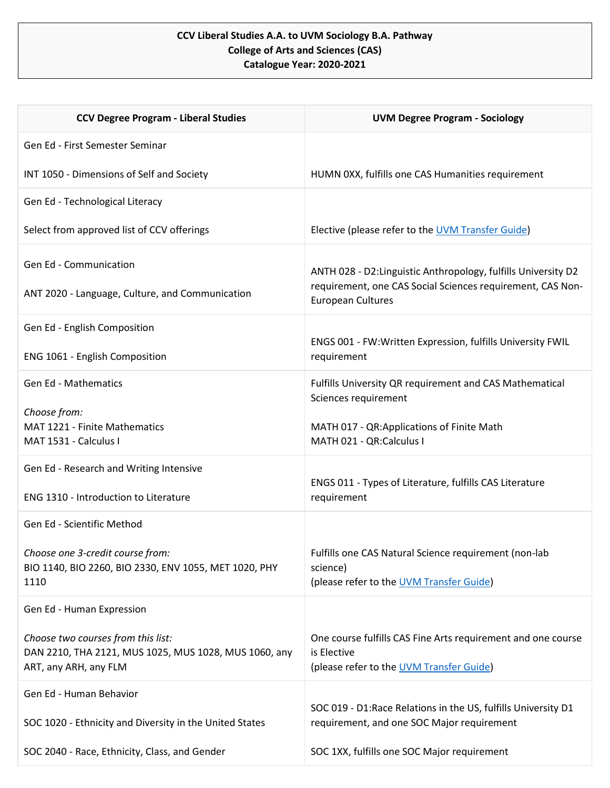## **CCV Liberal Studies A.A. to UVM Sociology B.A. Pathway College of Arts and Sciences (CAS) Catalogue Year: 2020-2021**

| <b>CCV Degree Program - Liberal Studies</b>                                    | <b>UVM Degree Program - Sociology</b>                                                                        |
|--------------------------------------------------------------------------------|--------------------------------------------------------------------------------------------------------------|
| Gen Ed - First Semester Seminar                                                |                                                                                                              |
| INT 1050 - Dimensions of Self and Society                                      | HUMN 0XX, fulfills one CAS Humanities requirement                                                            |
| Gen Ed - Technological Literacy                                                |                                                                                                              |
| Select from approved list of CCV offerings                                     | Elective (please refer to the UVM Transfer Guide)                                                            |
| Gen Ed - Communication                                                         | ANTH 028 - D2: Linguistic Anthropology, fulfills University D2                                               |
| ANT 2020 - Language, Culture, and Communication                                | requirement, one CAS Social Sciences requirement, CAS Non-<br><b>European Cultures</b>                       |
| Gen Ed - English Composition                                                   |                                                                                                              |
| ENG 1061 - English Composition                                                 | ENGS 001 - FW:Written Expression, fulfills University FWIL<br>requirement                                    |
| <b>Gen Ed - Mathematics</b>                                                    | Fulfills University QR requirement and CAS Mathematical<br>Sciences requirement                              |
| Choose from:<br>MAT 1221 - Finite Mathematics                                  | MATH 017 - QR:Applications of Finite Math                                                                    |
| MAT 1531 - Calculus I                                                          | MATH 021 - QR:Calculus I                                                                                     |
| Gen Ed - Research and Writing Intensive                                        |                                                                                                              |
| ENG 1310 - Introduction to Literature                                          | ENGS 011 - Types of Literature, fulfills CAS Literature<br>requirement                                       |
| Gen Ed - Scientific Method                                                     |                                                                                                              |
| Choose one 3-credit course from:                                               | Fulfills one CAS Natural Science requirement (non-lab                                                        |
| BIO 1140, BIO 2260, BIO 2330, ENV 1055, MET 1020, PHY<br>1110                  | science)<br>(please refer to the UVM Transfer Guide)                                                         |
| Gen Ed - Human Expression                                                      |                                                                                                              |
| Choose two courses from this list:                                             | One course fulfills CAS Fine Arts requirement and one course                                                 |
| DAN 2210, THA 2121, MUS 1025, MUS 1028, MUS 1060, any<br>ART, any ARH, any FLM | is Elective<br>(please refer to the UVM Transfer Guide)                                                      |
| Gen Ed - Human Behavior                                                        |                                                                                                              |
| SOC 1020 - Ethnicity and Diversity in the United States                        | SOC 019 - D1: Race Relations in the US, fulfills University D1<br>requirement, and one SOC Major requirement |
| SOC 2040 - Race, Ethnicity, Class, and Gender                                  | SOC 1XX, fulfills one SOC Major requirement                                                                  |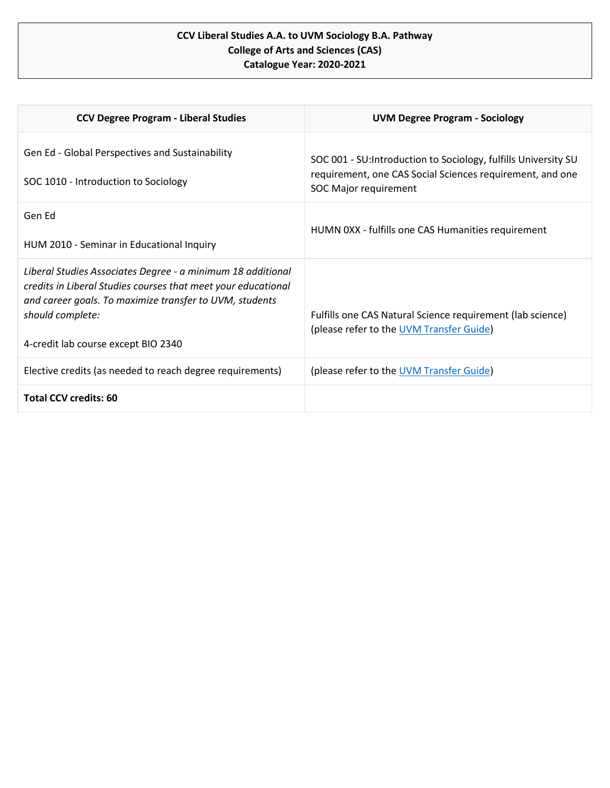## **CCV Liberal Studies A.A. to UVM Sociology B.A. Pathway College of Arts and Sciences (CAS) Catalogue Year: 2020-2021**

| <b>CCV Degree Program - Liberal Studies</b>                                                                                                                                                                                                        | <b>UVM Degree Program - Sociology</b>                                                                                                                        |
|----------------------------------------------------------------------------------------------------------------------------------------------------------------------------------------------------------------------------------------------------|--------------------------------------------------------------------------------------------------------------------------------------------------------------|
| Gen Ed - Global Perspectives and Sustainability<br>SOC 1010 - Introduction to Sociology                                                                                                                                                            | SOC 001 - SU: Introduction to Sociology, fulfills University SU<br>requirement, one CAS Social Sciences requirement, and one<br><b>SOC Major requirement</b> |
| Gen Ed<br>HUM 2010 - Seminar in Educational Inquiry                                                                                                                                                                                                | HUMN 0XX - fulfills one CAS Humanities requirement                                                                                                           |
| Liberal Studies Associates Degree - a minimum 18 additional<br>credits in Liberal Studies courses that meet your educational<br>and career goals. To maximize transfer to UVM, students<br>should complete:<br>4-credit lab course except BIO 2340 | Fulfills one CAS Natural Science requirement (lab science)<br>(please refer to the UVM Transfer Guide)                                                       |
| Elective credits (as needed to reach degree requirements)                                                                                                                                                                                          | (please refer to the UVM Transfer Guide)                                                                                                                     |
| <b>Total CCV credits: 60</b>                                                                                                                                                                                                                       |                                                                                                                                                              |